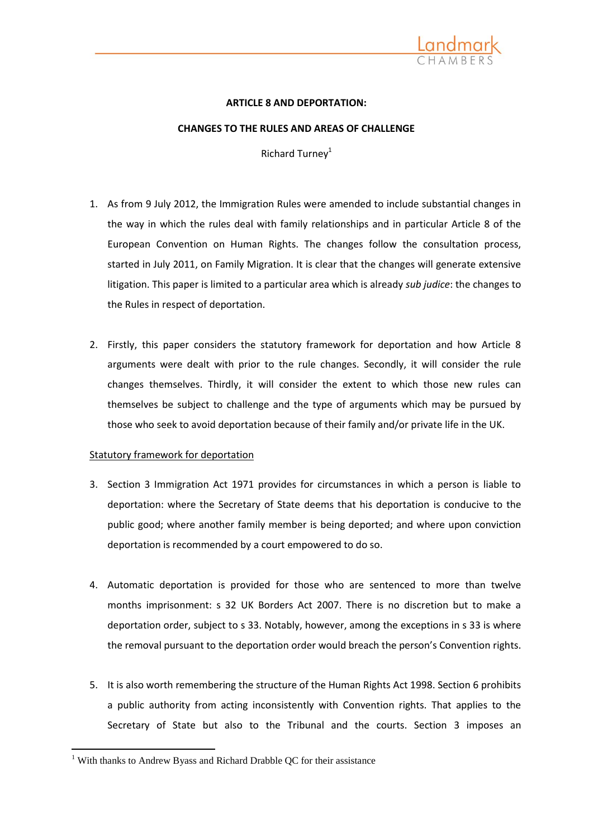

## **ARTICLE 8 AND DEPORTATION:**

### **CHANGES TO THE RULES AND AREAS OF CHALLENGE**

Richard Turney<sup>1</sup>

- 1. As from 9 July 2012, the Immigration Rules were amended to include substantial changes in the way in which the rules deal with family relationships and in particular Article 8 of the European Convention on Human Rights. The changes follow the consultation process, started in July 2011, on Family Migration. It is clear that the changes will generate extensive litigation. This paper is limited to a particular area which is already *sub judice*: the changes to the Rules in respect of deportation.
- 2. Firstly, this paper considers the statutory framework for deportation and how Article 8 arguments were dealt with prior to the rule changes. Secondly, it will consider the rule changes themselves. Thirdly, it will consider the extent to which those new rules can themselves be subject to challenge and the type of arguments which may be pursued by those who seek to avoid deportation because of their family and/or private life in the UK.

# Statutory framework for deportation

- 3. Section 3 Immigration Act 1971 provides for circumstances in which a person is liable to deportation: where the Secretary of State deems that his deportation is conducive to the public good; where another family member is being deported; and where upon conviction deportation is recommended by a court empowered to do so.
- 4. Automatic deportation is provided for those who are sentenced to more than twelve months imprisonment: s 32 UK Borders Act 2007. There is no discretion but to make a deportation order, subject to s 33. Notably, however, among the exceptions in s 33 is where the removal pursuant to the deportation order would breach the person's Convention rights.
- 5. It is also worth remembering the structure of the Human Rights Act 1998. Section 6 prohibits a public authority from acting inconsistently with Convention rights. That applies to the Secretary of State but also to the Tribunal and the courts. Section 3 imposes an

1

<sup>&</sup>lt;sup>1</sup> With thanks to Andrew Byass and Richard Drabble QC for their assistance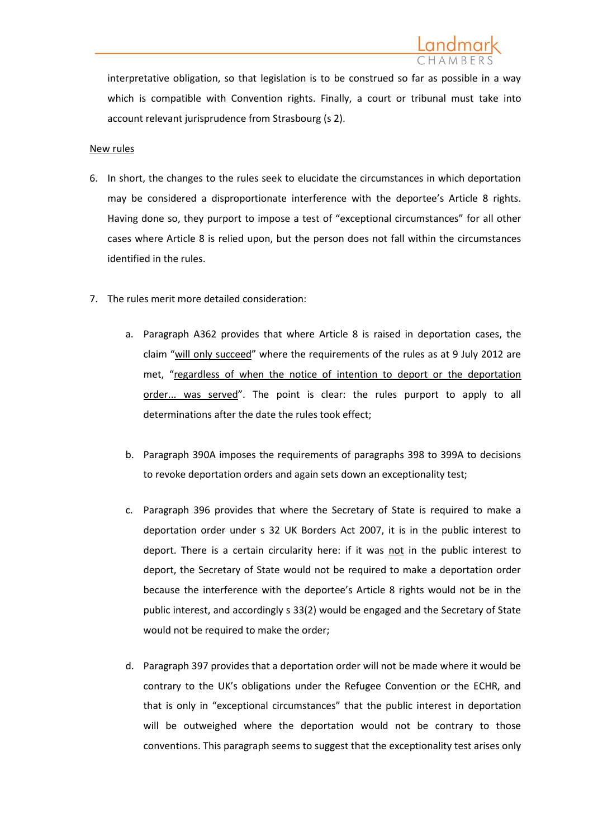

interpretative obligation, so that legislation is to be construed so far as possible in a way which is compatible with Convention rights. Finally, a court or tribunal must take into account relevant jurisprudence from Strasbourg (s 2).

### New rules

- 6. In short, the changes to the rules seek to elucidate the circumstances in which deportation may be considered a disproportionate interference with the deportee's Article 8 rights. Having done so, they purport to impose a test of "exceptional circumstances" for all other cases where Article 8 is relied upon, but the person does not fall within the circumstances identified in the rules.
- 7. The rules merit more detailed consideration:
	- a. Paragraph A362 provides that where Article 8 is raised in deportation cases, the claim "will only succeed" where the requirements of the rules as at 9 July 2012 are met, "regardless of when the notice of intention to deport or the deportation order... was served". The point is clear: the rules purport to apply to all determinations after the date the rules took effect;
	- b. Paragraph 390A imposes the requirements of paragraphs 398 to 399A to decisions to revoke deportation orders and again sets down an exceptionality test;
	- c. Paragraph 396 provides that where the Secretary of State is required to make a deportation order under s 32 UK Borders Act 2007, it is in the public interest to deport. There is a certain circularity here: if it was not in the public interest to deport, the Secretary of State would not be required to make a deportation order because the interference with the deportee's Article 8 rights would not be in the public interest, and accordingly s 33(2) would be engaged and the Secretary of State would not be required to make the order;
	- d. Paragraph 397 provides that a deportation order will not be made where it would be contrary to the UK's obligations under the Refugee Convention or the ECHR, and that is only in "exceptional circumstances" that the public interest in deportation will be outweighed where the deportation would not be contrary to those conventions. This paragraph seems to suggest that the exceptionality test arises only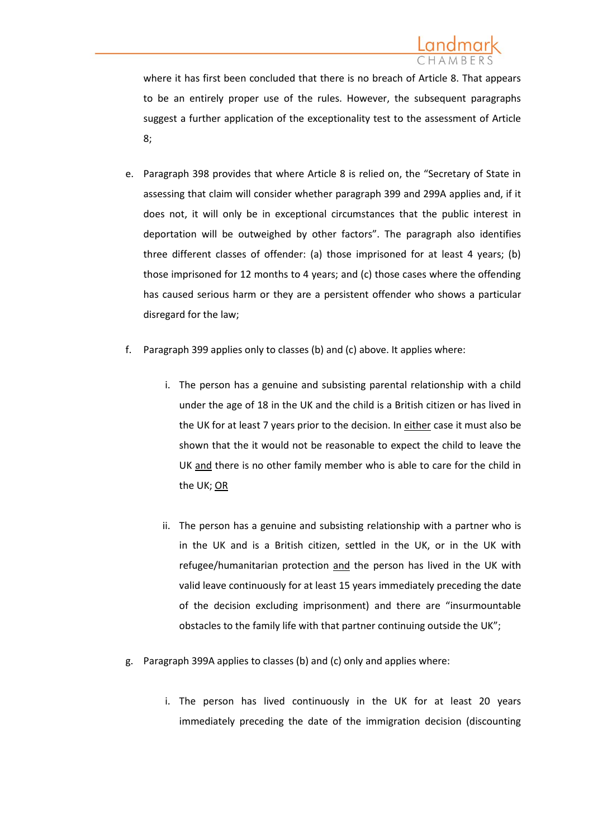where it has first been concluded that there is no breach of Article 8. That appears to be an entirely proper use of the rules. However, the subsequent paragraphs suggest a further application of the exceptionality test to the assessment of Article 8;

- e. Paragraph 398 provides that where Article 8 is relied on, the "Secretary of State in assessing that claim will consider whether paragraph 399 and 299A applies and, if it does not, it will only be in exceptional circumstances that the public interest in deportation will be outweighed by other factors". The paragraph also identifies three different classes of offender: (a) those imprisoned for at least 4 years; (b) those imprisoned for 12 months to 4 years; and (c) those cases where the offending has caused serious harm or they are a persistent offender who shows a particular disregard for the law;
- f. Paragraph 399 applies only to classes (b) and (c) above. It applies where:
	- i. The person has a genuine and subsisting parental relationship with a child under the age of 18 in the UK and the child is a British citizen or has lived in the UK for at least 7 years prior to the decision. In either case it must also be shown that the it would not be reasonable to expect the child to leave the UK and there is no other family member who is able to care for the child in the UK; OR
	- ii. The person has a genuine and subsisting relationship with a partner who is in the UK and is a British citizen, settled in the UK, or in the UK with refugee/humanitarian protection and the person has lived in the UK with valid leave continuously for at least 15 years immediately preceding the date of the decision excluding imprisonment) and there are "insurmountable obstacles to the family life with that partner continuing outside the UK";
- g. Paragraph 399A applies to classes (b) and (c) only and applies where:
	- i. The person has lived continuously in the UK for at least 20 years immediately preceding the date of the immigration decision (discounting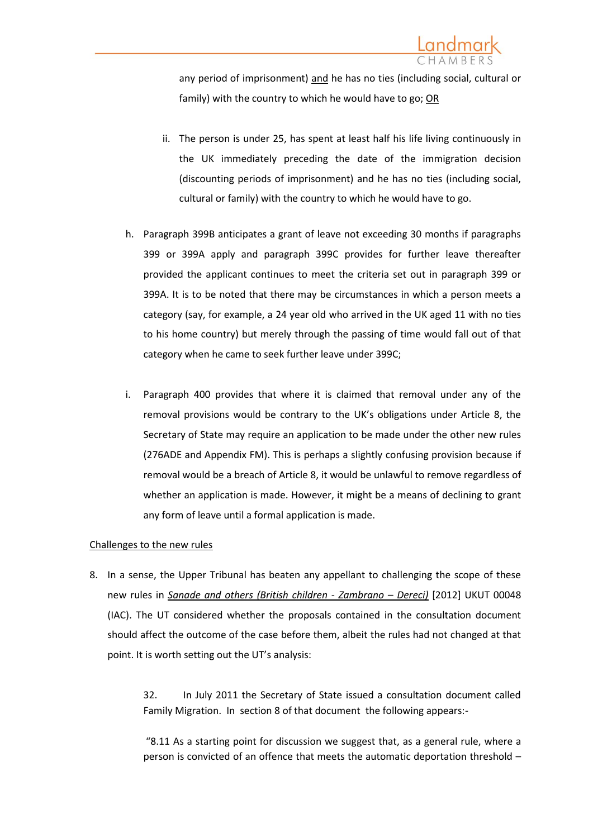any period of imprisonment) and he has no ties (including social, cultural or family) with the country to which he would have to go; OR

- ii. The person is under 25, has spent at least half his life living continuously in the UK immediately preceding the date of the immigration decision (discounting periods of imprisonment) and he has no ties (including social, cultural or family) with the country to which he would have to go.
- h. Paragraph 399B anticipates a grant of leave not exceeding 30 months if paragraphs 399 or 399A apply and paragraph 399C provides for further leave thereafter provided the applicant continues to meet the criteria set out in paragraph 399 or 399A. It is to be noted that there may be circumstances in which a person meets a category (say, for example, a 24 year old who arrived in the UK aged 11 with no ties to his home country) but merely through the passing of time would fall out of that category when he came to seek further leave under 399C;
- i. Paragraph 400 provides that where it is claimed that removal under any of the removal provisions would be contrary to the UK's obligations under Article 8, the Secretary of State may require an application to be made under the other new rules (276ADE and Appendix FM). This is perhaps a slightly confusing provision because if removal would be a breach of Article 8, it would be unlawful to remove regardless of whether an application is made. However, it might be a means of declining to grant any form of leave until a formal application is made.

# Challenges to the new rules

8. In a sense, the Upper Tribunal has beaten any appellant to challenging the scope of these new rules in *Sanade and others (British children - Zambrano – Dereci)* [2012] UKUT 00048 (IAC). The UT considered whether the proposals contained in the consultation document should affect the outcome of the case before them, albeit the rules had not changed at that point. It is worth setting out the UT's analysis:

> 32. In July 2011 the Secretary of State issued a consultation document called Family Migration. In section 8 of that document the following appears:-

> "8.11 As a starting point for discussion we suggest that, as a general rule, where a person is convicted of an offence that meets the automatic deportation threshold –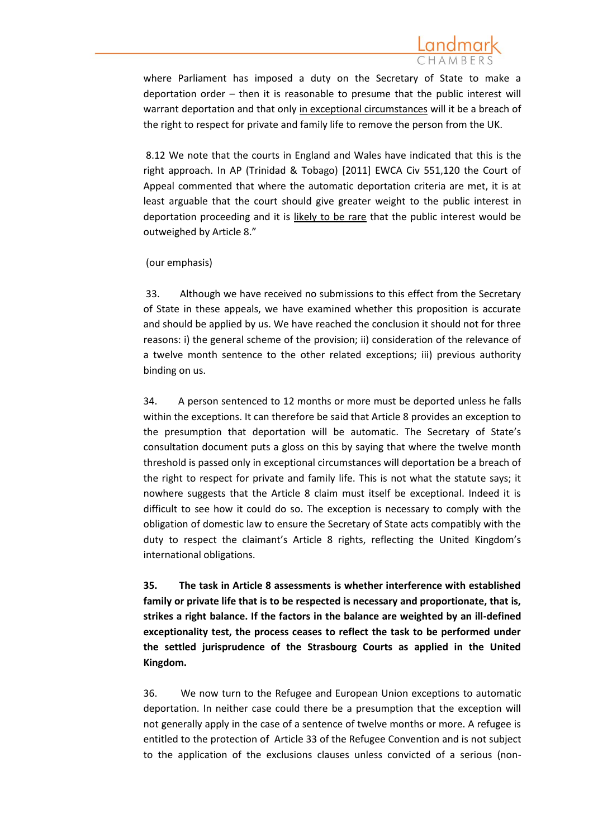where Parliament has imposed a duty on the Secretary of State to make a deportation order – then it is reasonable to presume that the public interest will warrant deportation and that only in exceptional circumstances will it be a breach of the right to respect for private and family life to remove the person from the UK.

8.12 We note that the courts in England and Wales have indicated that this is the right approach. In AP (Trinidad & Tobago) [2011] EWCA Civ 551,120 the Court of Appeal commented that where the automatic deportation criteria are met, it is at least arguable that the court should give greater weight to the public interest in deportation proceeding and it is likely to be rare that the public interest would be outweighed by Article 8."

(our emphasis)

33. Although we have received no submissions to this effect from the Secretary of State in these appeals, we have examined whether this proposition is accurate and should be applied by us. We have reached the conclusion it should not for three reasons: i) the general scheme of the provision; ii) consideration of the relevance of a twelve month sentence to the other related exceptions; iii) previous authority binding on us.

34. A person sentenced to 12 months or more must be deported unless he falls within the exceptions. It can therefore be said that Article 8 provides an exception to the presumption that deportation will be automatic. The Secretary of State's consultation document puts a gloss on this by saying that where the twelve month threshold is passed only in exceptional circumstances will deportation be a breach of the right to respect for private and family life. This is not what the statute says; it nowhere suggests that the Article 8 claim must itself be exceptional. Indeed it is difficult to see how it could do so. The exception is necessary to comply with the obligation of domestic law to ensure the Secretary of State acts compatibly with the duty to respect the claimant's Article 8 rights, reflecting the United Kingdom's international obligations.

**35. The task in Article 8 assessments is whether interference with established family or private life that is to be respected is necessary and proportionate, that is, strikes a right balance. If the factors in the balance are weighted by an ill-defined exceptionality test, the process ceases to reflect the task to be performed under the settled jurisprudence of the Strasbourg Courts as applied in the United Kingdom.**

36. We now turn to the Refugee and European Union exceptions to automatic deportation. In neither case could there be a presumption that the exception will not generally apply in the case of a sentence of twelve months or more. A refugee is entitled to the protection of Article 33 of the Refugee Convention and is not subject to the application of the exclusions clauses unless convicted of a serious (non-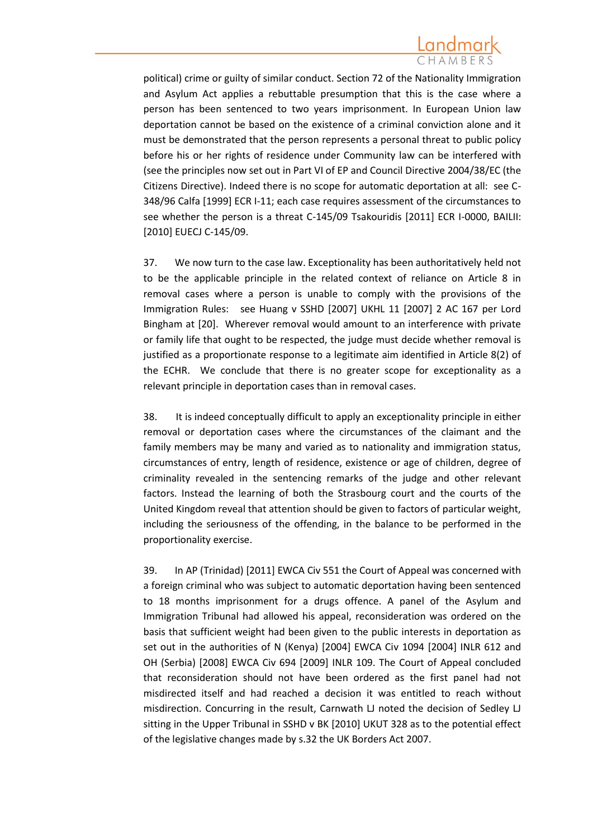political) crime or guilty of similar conduct. Section 72 of the Nationality Immigration and Asylum Act applies a rebuttable presumption that this is the case where a person has been sentenced to two years imprisonment. In European Union law deportation cannot be based on the existence of a criminal conviction alone and it must be demonstrated that the person represents a personal threat to public policy before his or her rights of residence under Community law can be interfered with (see the principles now set out in Part VI of EP and Council Directive 2004/38/EC (the Citizens Directive). Indeed there is no scope for automatic deportation at all: see C-348/96 Calfa [1999] ECR I-11; each case requires assessment of the circumstances to see whether the person is a threat C-145/09 Tsakouridis [2011] ECR I-0000, BAILII: [2010] EUECJ C-145/09.

37. We now turn to the case law. Exceptionality has been authoritatively held not to be the applicable principle in the related context of reliance on Article 8 in removal cases where a person is unable to comply with the provisions of the Immigration Rules: see Huang v SSHD [2007] UKHL 11 [2007] 2 AC 167 per Lord Bingham at [20]. Wherever removal would amount to an interference with private or family life that ought to be respected, the judge must decide whether removal is justified as a proportionate response to a legitimate aim identified in Article 8(2) of the ECHR. We conclude that there is no greater scope for exceptionality as a relevant principle in deportation cases than in removal cases.

38. It is indeed conceptually difficult to apply an exceptionality principle in either removal or deportation cases where the circumstances of the claimant and the family members may be many and varied as to nationality and immigration status, circumstances of entry, length of residence, existence or age of children, degree of criminality revealed in the sentencing remarks of the judge and other relevant factors. Instead the learning of both the Strasbourg court and the courts of the United Kingdom reveal that attention should be given to factors of particular weight, including the seriousness of the offending, in the balance to be performed in the proportionality exercise.

39. In AP (Trinidad) [2011] EWCA Civ 551 the Court of Appeal was concerned with a foreign criminal who was subject to automatic deportation having been sentenced to 18 months imprisonment for a drugs offence. A panel of the Asylum and Immigration Tribunal had allowed his appeal, reconsideration was ordered on the basis that sufficient weight had been given to the public interests in deportation as set out in the authorities of N (Kenya) [2004] EWCA Civ 1094 [2004] INLR 612 and OH (Serbia) [2008] EWCA Civ 694 [2009] INLR 109. The Court of Appeal concluded that reconsideration should not have been ordered as the first panel had not misdirected itself and had reached a decision it was entitled to reach without misdirection. Concurring in the result, Carnwath LJ noted the decision of Sedley LJ sitting in the Upper Tribunal in SSHD v BK [2010] UKUT 328 as to the potential effect of the legislative changes made by s.32 the UK Borders Act 2007.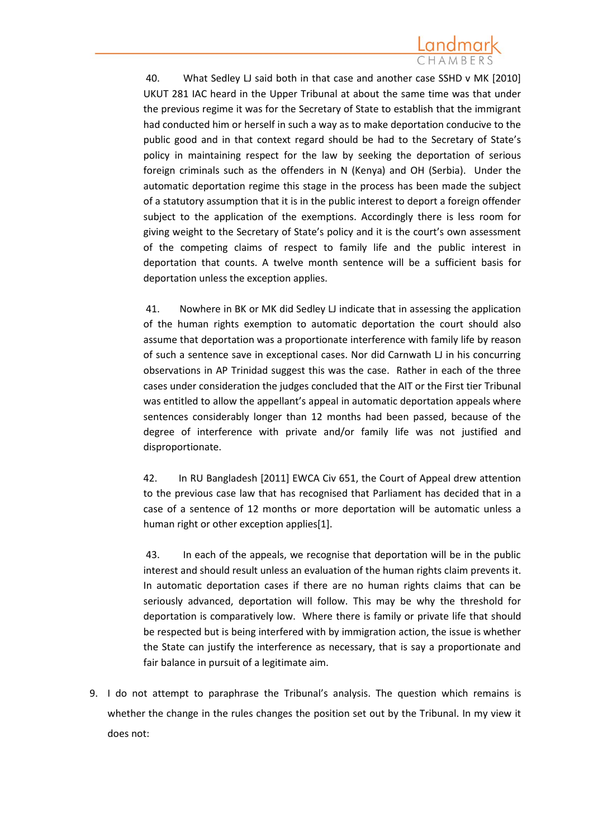40. What Sedley LJ said both in that case and another case SSHD v MK [2010] UKUT 281 IAC heard in the Upper Tribunal at about the same time was that under the previous regime it was for the Secretary of State to establish that the immigrant had conducted him or herself in such a way as to make deportation conducive to the public good and in that context regard should be had to the Secretary of State's policy in maintaining respect for the law by seeking the deportation of serious foreign criminals such as the offenders in N (Kenya) and OH (Serbia). Under the automatic deportation regime this stage in the process has been made the subject of a statutory assumption that it is in the public interest to deport a foreign offender subject to the application of the exemptions. Accordingly there is less room for giving weight to the Secretary of State's policy and it is the court's own assessment of the competing claims of respect to family life and the public interest in deportation that counts. A twelve month sentence will be a sufficient basis for deportation unless the exception applies.

41. Nowhere in BK or MK did Sedley LJ indicate that in assessing the application of the human rights exemption to automatic deportation the court should also assume that deportation was a proportionate interference with family life by reason of such a sentence save in exceptional cases. Nor did Carnwath LJ in his concurring observations in AP Trinidad suggest this was the case. Rather in each of the three cases under consideration the judges concluded that the AIT or the First tier Tribunal was entitled to allow the appellant's appeal in automatic deportation appeals where sentences considerably longer than 12 months had been passed, because of the degree of interference with private and/or family life was not justified and disproportionate.

42. In RU Bangladesh [2011] EWCA Civ 651, the Court of Appeal drew attention to the previous case law that has recognised that Parliament has decided that in a case of a sentence of 12 months or more deportation will be automatic unless a human right or other exception applies[1].

43. In each of the appeals, we recognise that deportation will be in the public interest and should result unless an evaluation of the human rights claim prevents it. In automatic deportation cases if there are no human rights claims that can be seriously advanced, deportation will follow. This may be why the threshold for deportation is comparatively low. Where there is family or private life that should be respected but is being interfered with by immigration action, the issue is whether the State can justify the interference as necessary, that is say a proportionate and fair balance in pursuit of a legitimate aim.

9. I do not attempt to paraphrase the Tribunal's analysis. The question which remains is whether the change in the rules changes the position set out by the Tribunal. In my view it does not: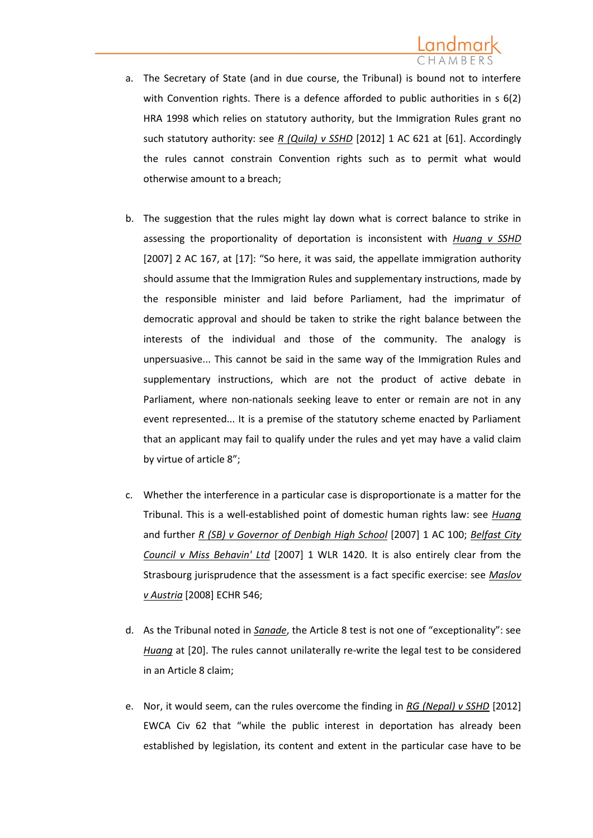- a. The Secretary of State (and in due course, the Tribunal) is bound not to interfere with Convention rights. There is a defence afforded to public authorities in s 6(2) HRA 1998 which relies on statutory authority, but the Immigration Rules grant no such statutory authority: see *R (Quila) v SSHD* [2012] 1 AC 621 at [61]. Accordingly the rules cannot constrain Convention rights such as to permit what would otherwise amount to a breach;
- b. The suggestion that the rules might lay down what is correct balance to strike in assessing the proportionality of deportation is inconsistent with *Huang v SSHD* [2007] 2 AC 167, at [17]: "So here, it was said, the appellate immigration authority should assume that the Immigration Rules and supplementary instructions, made by the responsible minister and laid before Parliament, had the imprimatur of democratic approval and should be taken to strike the right balance between the interests of the individual and those of the community. The analogy is unpersuasive... This cannot be said in the same way of the Immigration Rules and supplementary instructions, which are not the product of active debate in Parliament, where non-nationals seeking leave to enter or remain are not in any event represented... It is a premise of the statutory scheme enacted by Parliament that an applicant may fail to qualify under the rules and yet may have a valid claim by virtue of article 8";
- c. Whether the interference in a particular case is disproportionate is a matter for the Tribunal. This is a well-established point of domestic human rights law: see *Huang* and further *R (SB) v Governor of Denbigh High School* [2007] 1 AC 100; *Belfast City Council v Miss Behavin' Ltd* [2007] 1 WLR 1420. It is also entirely clear from the Strasbourg jurisprudence that the assessment is a fact specific exercise: see *Maslov v Austria* [2008] ECHR 546;
- d. As the Tribunal noted in *Sanade*, the Article 8 test is not one of "exceptionality": see *Huang* at [20]. The rules cannot unilaterally re-write the legal test to be considered in an Article 8 claim;
- e. Nor, it would seem, can the rules overcome the finding in *RG (Nepal) v SSHD* [2012] EWCA Civ 62 that "while the public interest in deportation has already been established by legislation, its content and extent in the particular case have to be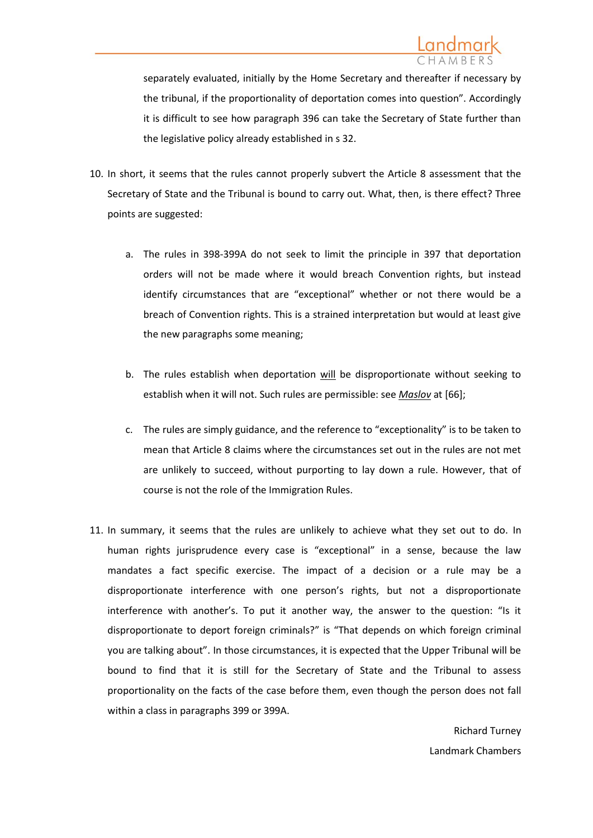separately evaluated, initially by the Home Secretary and thereafter if necessary by the tribunal, if the proportionality of deportation comes into question". Accordingly it is difficult to see how paragraph 396 can take the Secretary of State further than the legislative policy already established in s 32.

- 10. In short, it seems that the rules cannot properly subvert the Article 8 assessment that the Secretary of State and the Tribunal is bound to carry out. What, then, is there effect? Three points are suggested:
	- a. The rules in 398-399A do not seek to limit the principle in 397 that deportation orders will not be made where it would breach Convention rights, but instead identify circumstances that are "exceptional" whether or not there would be a breach of Convention rights. This is a strained interpretation but would at least give the new paragraphs some meaning;
	- b. The rules establish when deportation will be disproportionate without seeking to establish when it will not. Such rules are permissible: see *Maslov* at [66];
	- c. The rules are simply guidance, and the reference to "exceptionality" is to be taken to mean that Article 8 claims where the circumstances set out in the rules are not met are unlikely to succeed, without purporting to lay down a rule. However, that of course is not the role of the Immigration Rules.
- 11. In summary, it seems that the rules are unlikely to achieve what they set out to do. In human rights jurisprudence every case is "exceptional" in a sense, because the law mandates a fact specific exercise. The impact of a decision or a rule may be a disproportionate interference with one person's rights, but not a disproportionate interference with another's. To put it another way, the answer to the question: "Is it disproportionate to deport foreign criminals?" is "That depends on which foreign criminal you are talking about". In those circumstances, it is expected that the Upper Tribunal will be bound to find that it is still for the Secretary of State and the Tribunal to assess proportionality on the facts of the case before them, even though the person does not fall within a class in paragraphs 399 or 399A.